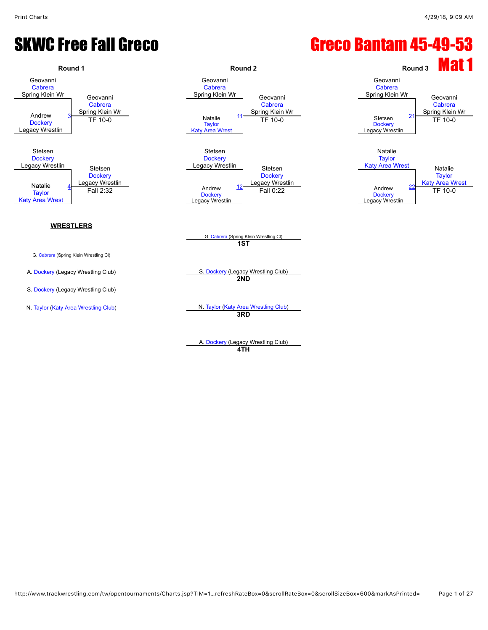### SKWC Free Fall Greco Change Care Constants Creco Bantam 45-49-53



A. [Dockery](javascript:viewProfile(1329840096)) (Legacy Wrestling Club) **4TH**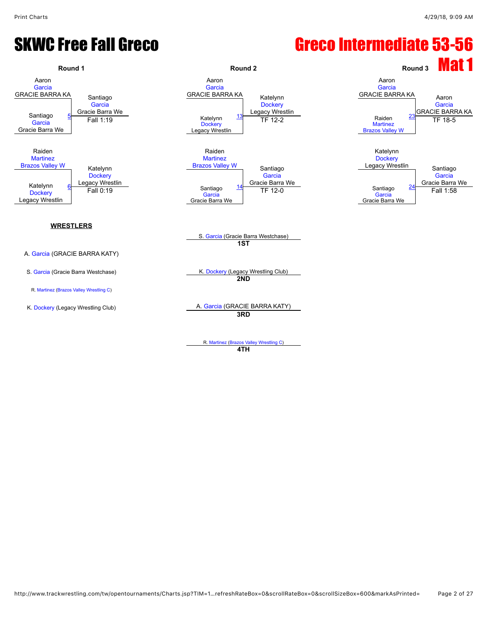### SKWC Free Fall Greco Canadiate 53-56



R. [Martinez](javascript:viewProfile(1161347096)) [\(Brazos Valley Wrestling C](javascript:viewClub(16280009))) **4TH**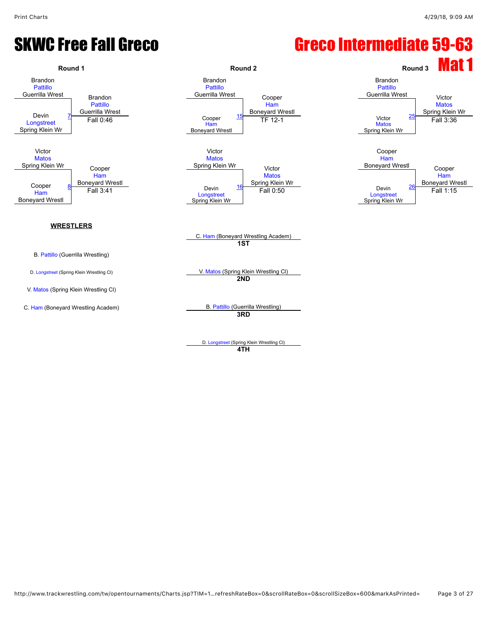#### SKWC Free Fall Greco Canadiate Superintendiate 59-63



D. [Longstreet](javascript:viewProfile(1531103096)) (Spring Klein Wrestling Cl) **4TH**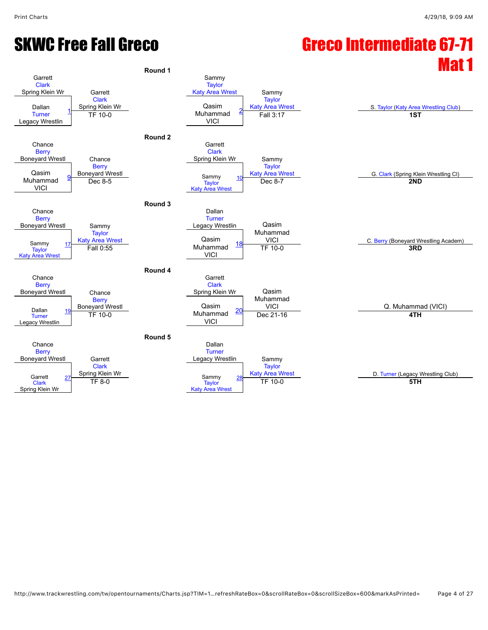# SKWC Free Fall Greco **Greco Canadiate 67-71**

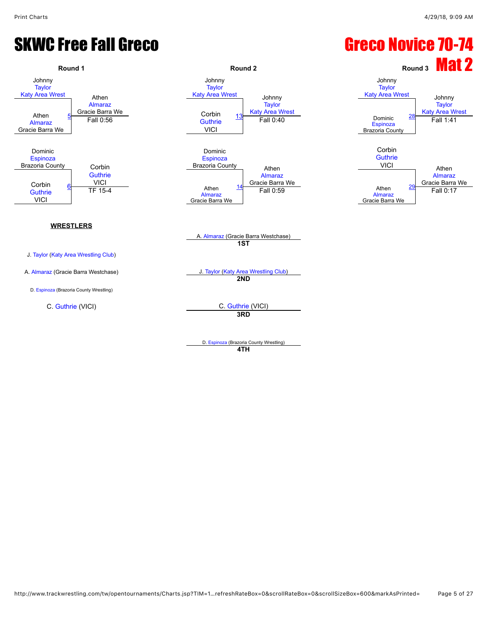### SKWC Free Fall Greco Green Care Care Constants Creco Novice 70-74

![](_page_4_Figure_3.jpeg)

D. [Espinoza](javascript:viewProfile(26420096)) (Brazoria County Wrestling) **4TH**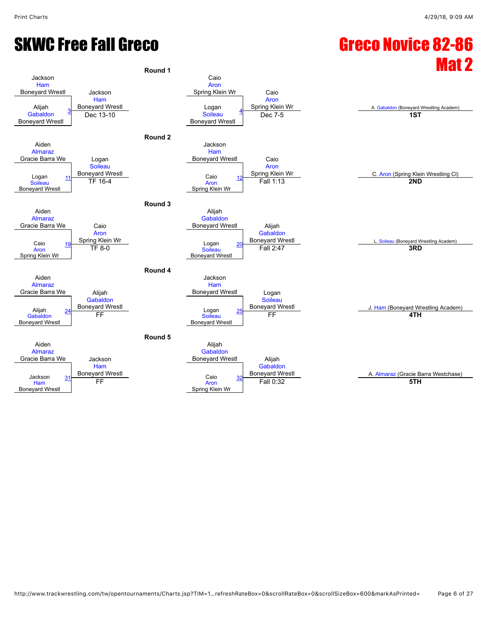# SKWC Free Fall Greco Green Care Care Constants Care Care Care Care Care Assessment Care Care Care Care Care Ca

![](_page_5_Figure_3.jpeg)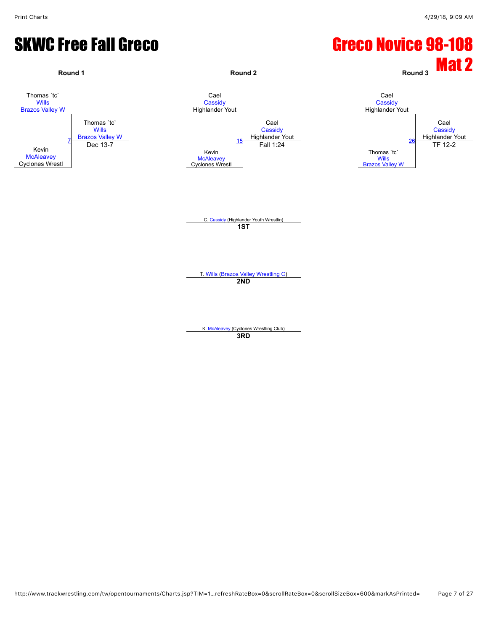#### SKWC Free Fall Greco Green Careco Novice 98-108

![](_page_6_Figure_3.jpeg)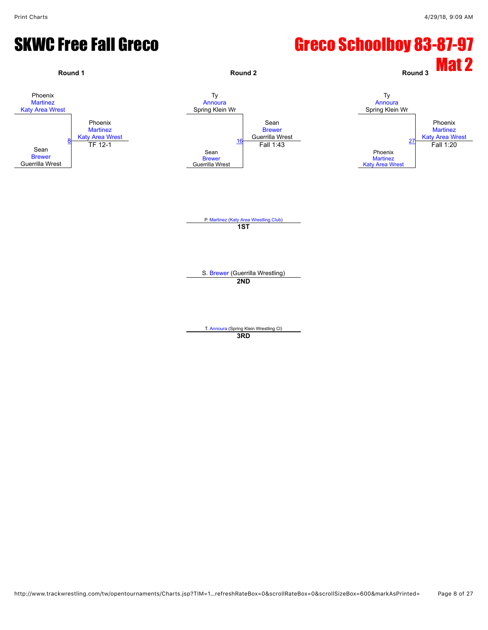#### SKWC Free Fall Greco Schoolboy 83-87-97

![](_page_7_Figure_3.jpeg)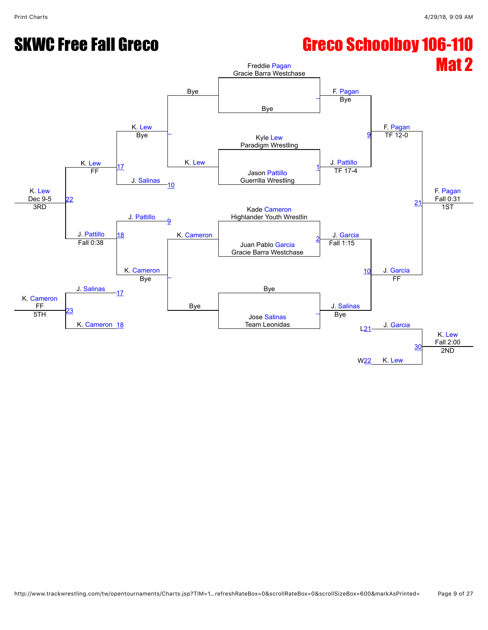# SKWC Free Fall Greco Schoolboy 106-110

![](_page_8_Figure_3.jpeg)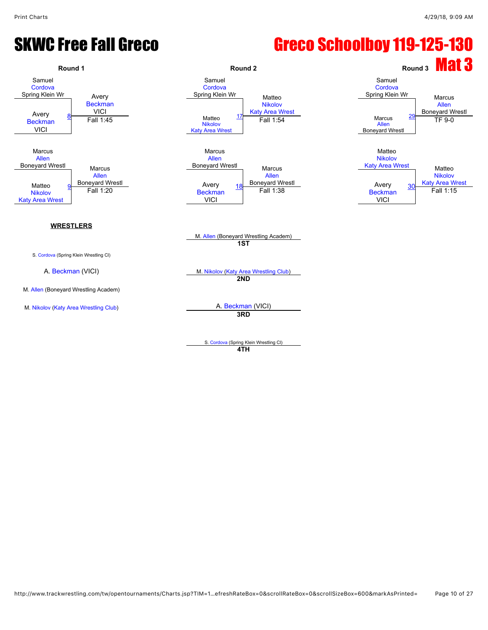#### SKWC Free Fall Greco Schoolboy 119-125-130

![](_page_9_Figure_3.jpeg)

**4TH**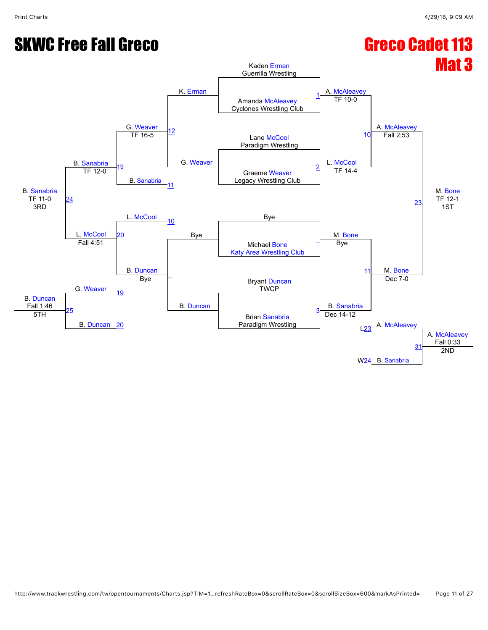# **SKWC Free Fall Greco** Greco Greco Cadet 113

![](_page_10_Figure_3.jpeg)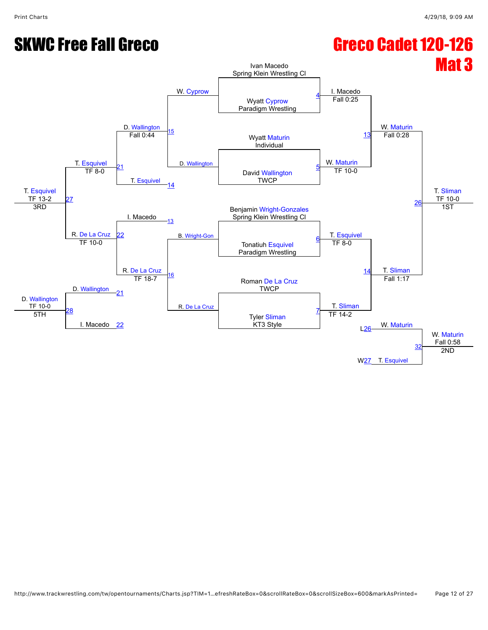# SKWC Free Fall Greco Green Can Greco Cadet 120-126

![](_page_11_Figure_3.jpeg)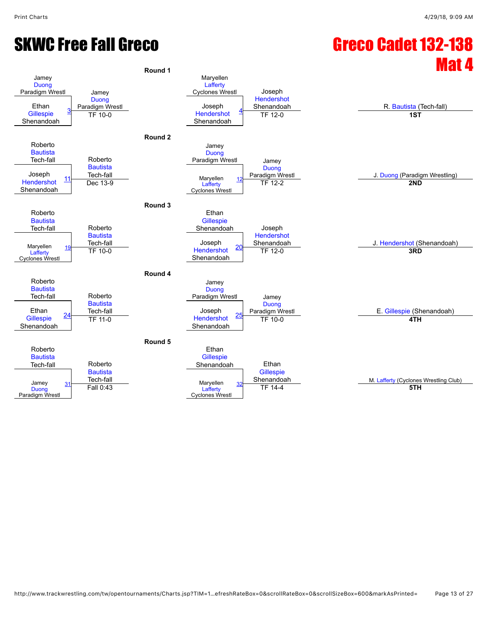# SKWC Free Fall Greco Green Cadet 132-138

![](_page_12_Figure_3.jpeg)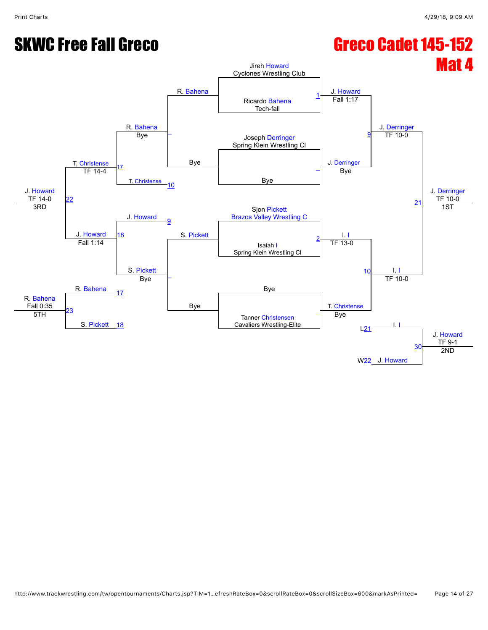# SKWC Free Fall Greco Green Canadian Creco Cadet 145-152

![](_page_13_Figure_3.jpeg)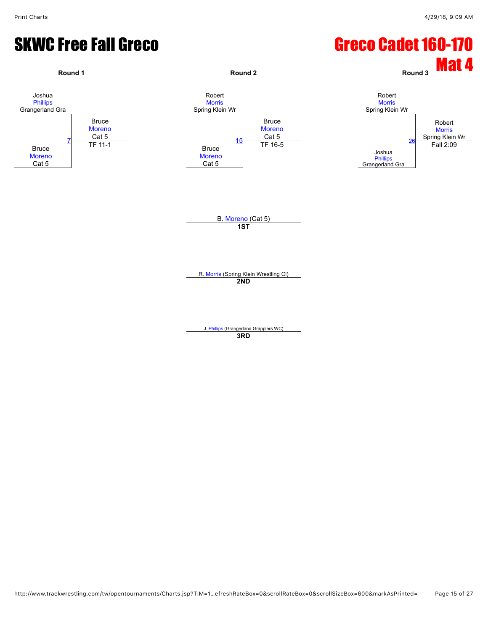#### SKWC Free Fall Greco Green Can Greco Cadet 160-170

![](_page_14_Figure_3.jpeg)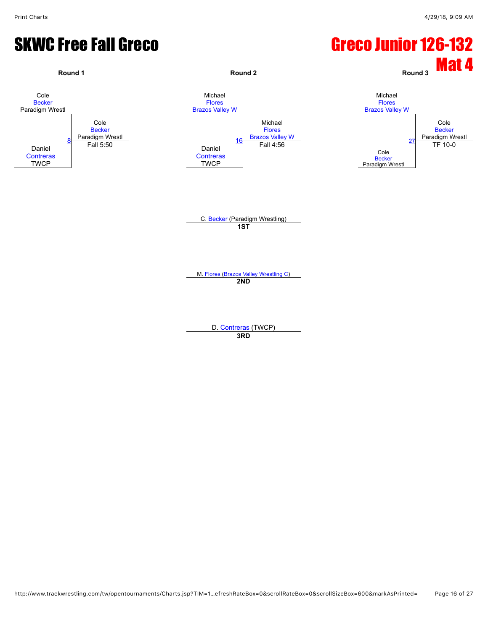#### SKWC Free Fall Greco Canadian Careco Junior 126-132

![](_page_15_Figure_3.jpeg)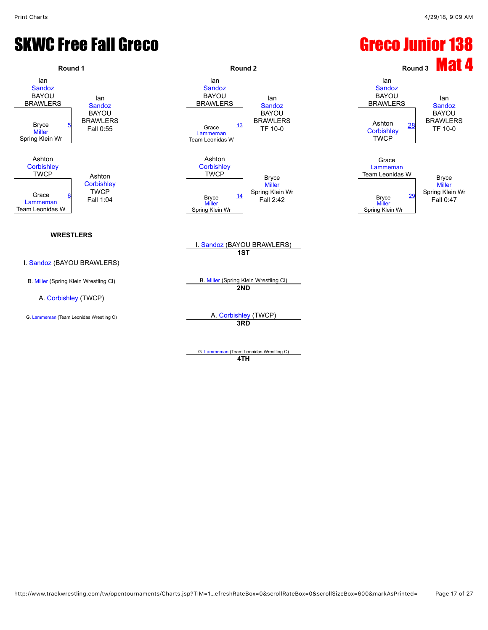#### SKWC Free Fall Greco Greco Greco Junior 138

![](_page_16_Figure_3.jpeg)

**4TH**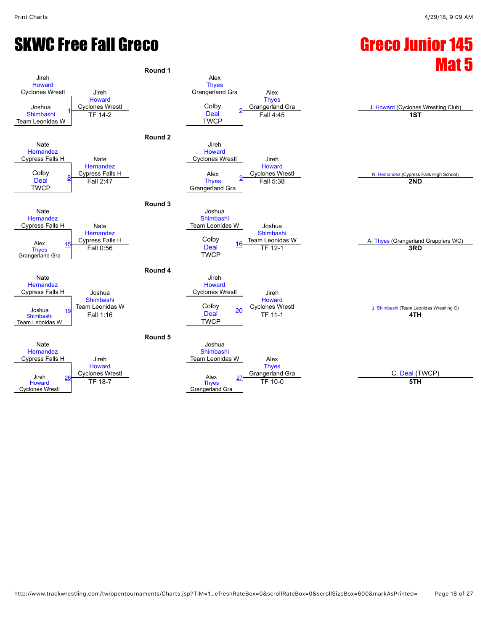## SKWC Free Fall Greco Greco Greco Junior 145

![](_page_17_Figure_3.jpeg)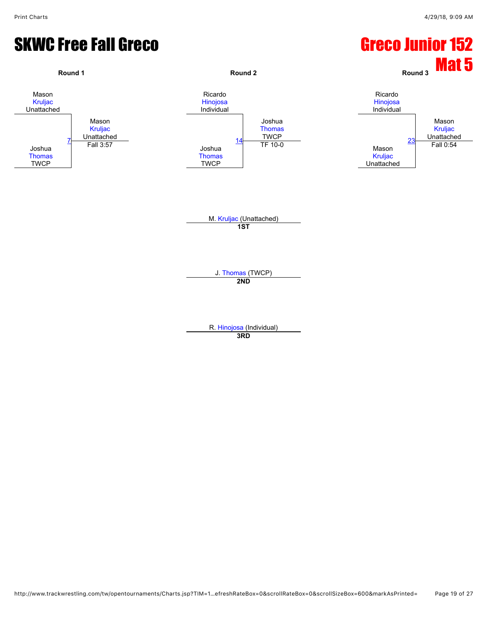#### SKWC Free Fall Greco Green Control Control Creco Junior 152

![](_page_18_Figure_3.jpeg)

**3RD**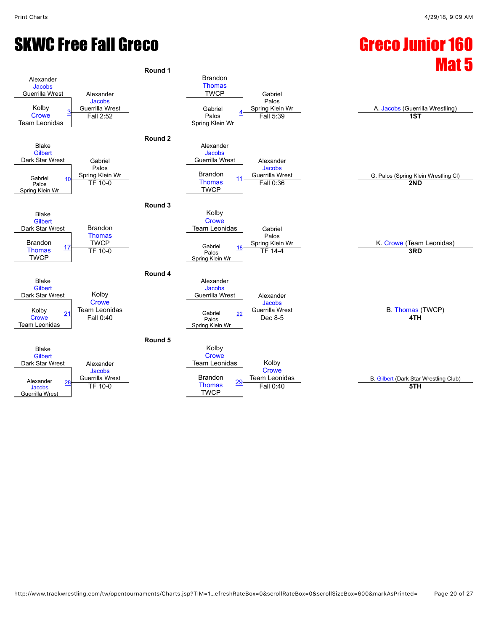![](_page_19_Figure_2.jpeg)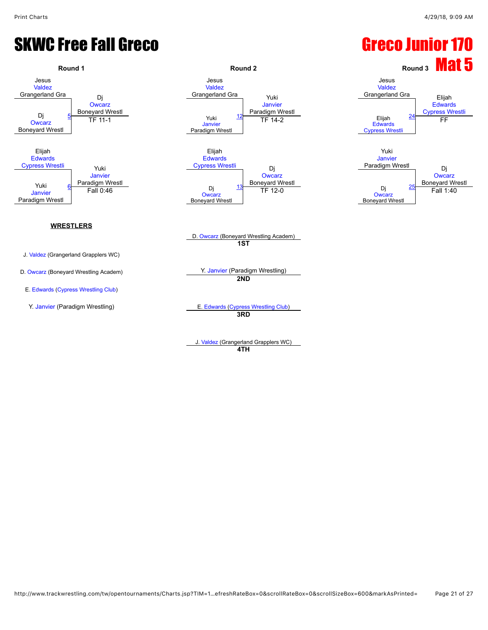#### SKWC Free Fall Greco Greco Greco Junior 170

![](_page_20_Figure_3.jpeg)

#### **WRESTLERS**

- J. [Valdez](javascript:viewProfile(616239132)) (Grangerland Grapplers WC)
- 
- E. [Edwards](javascript:viewProfile(765442096)) ([Cypress Wrestling Club](javascript:viewClub(358959009)))
- 

Jesus [Valdez](javascript:viewProfile(616239132)) Grangerland Gra Yuki [Janvier](javascript:viewProfile(1537742096)) Paradigm Wrestl [Janvier](javascript:viewProfile(1537742096)) Paradigm Wrestl [12](javascript:openBoutSheet(3,) Faradigm with the control of the control of the control of the control of the control of the control of the control of the control of the control of the control of the control of the control of the control of the contro <u>[24](javascript:openBoutSheet(5,) TF 11-1</u><br>TF 11-1 TH 2 TH 2 TH 2 Cultiple 24 FF Elijah **[Edwards](javascript:viewProfile(765442096))** [Cypress Wrestli](javascript:viewClub(358959009)) Di **[Owcarz](javascript:viewProfile(1551490096))** 

![](_page_20_Figure_10.jpeg)

D. [Owcarz](javascript:viewProfile(1551490096)) (Boneyard Wrestling Academ) **1ST**

D. [Owcarz](javascript:viewProfile(1551490096)) (Boneyard Wrestling Academ) Y. [Janvier](javascript:viewProfile(1537742096)) (Paradigm Wrestling) **2ND**

Y. [Janvier](javascript:viewProfile(1537742096)) (Paradigm Wrestling) E. [Edwards](javascript:viewProfile(765442096)) ([Cypress Wrestling Club](javascript:viewClub(358959009))) **3RD**

> J. [Valdez](javascript:viewProfile(616239132)) (Grangerland Grapplers WC) **4TH**

![](_page_20_Figure_15.jpeg)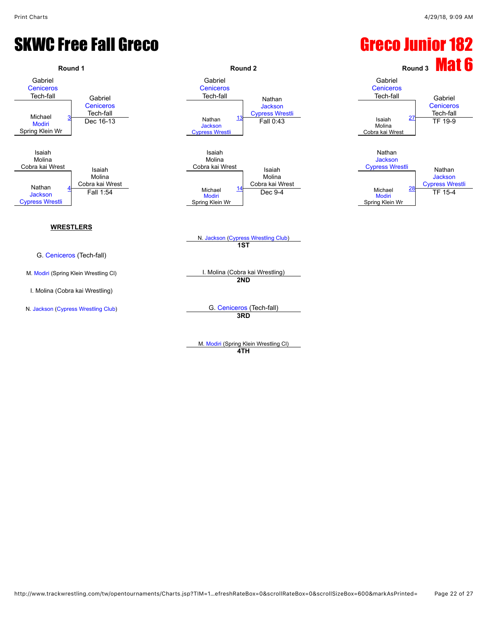#### SKWC Free Fall Greco Greco Junior 182

![](_page_21_Figure_3.jpeg)

M. [Modiri](javascript:viewProfile(790868096)) (Spring Klein Wrestling Cl) **4TH**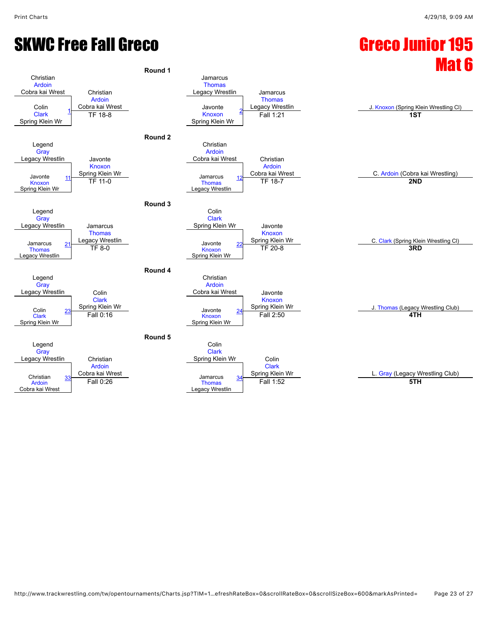# Round 1

![](_page_22_Figure_4.jpeg)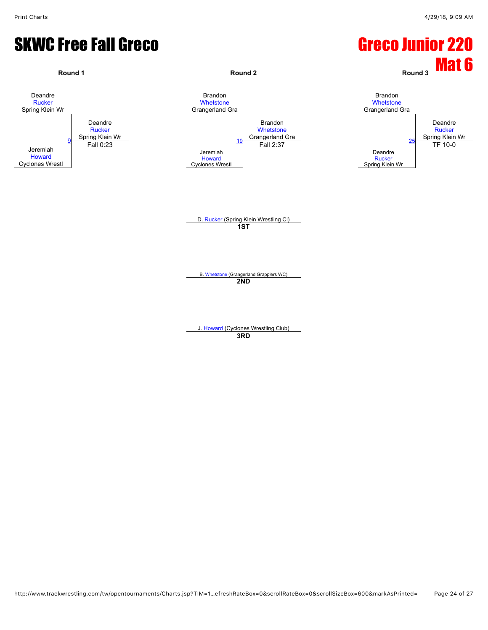#### SKWC Free Fall Greco Green Control Control Control Greco Junior 220

![](_page_23_Figure_3.jpeg)

**3RD**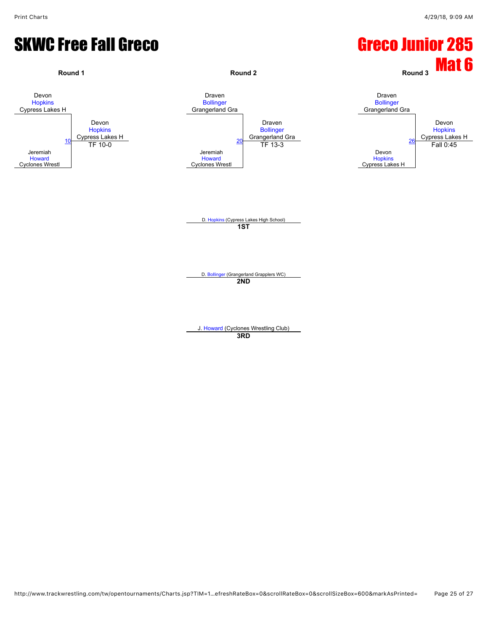#### SKWC Free Fall Greco Green Care Control Control Care Control Care Control Care Control Care Control Care Control Care Control Care Control Care Control Care Control Care Control Care Control Care Control Care Control Care

![](_page_24_Figure_3.jpeg)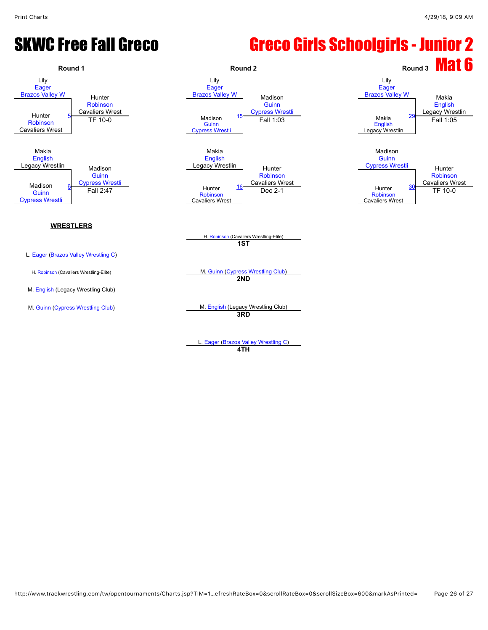#### SKWC Free Fall Greco **Greeo Girls Schoolgirls - Junior 2**

![](_page_25_Figure_3.jpeg)

L. [Eager](javascript:viewProfile(1166595096)) ([Brazos Valley Wrestling C](javascript:viewClub(16280009))) **4TH**